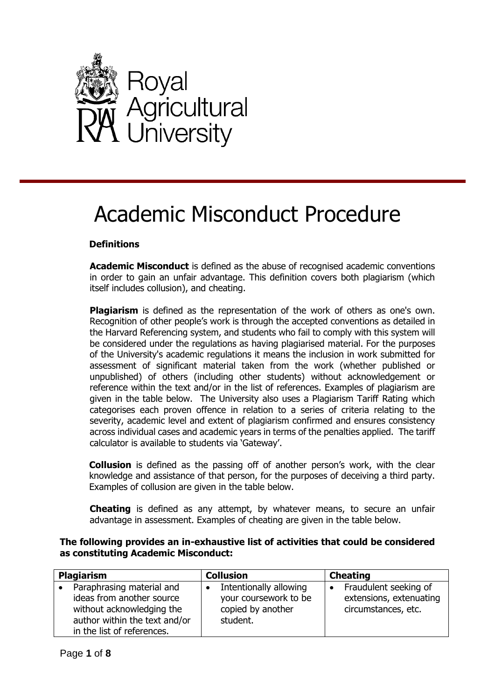

# Academic Misconduct Procedure

# **Definitions**

**Academic Misconduct** is defined as the abuse of recognised academic conventions in order to gain an unfair advantage. This definition covers both plagiarism (which itself includes collusion), and cheating.

**Plagiarism** is defined as the representation of the work of others as one's own. Recognition of other people's work is through the accepted conventions as detailed in the Harvard Referencing system, and students who fail to comply with this system will be considered under the regulations as having plagiarised material. For the purposes of the University's academic regulations it means the inclusion in work submitted for assessment of significant material taken from the work (whether published or unpublished) of others (including other students) without acknowledgement or reference within the text and/or in the list of references. Examples of plagiarism are given in the table below. The University also uses a Plagiarism Tariff Rating which categorises each proven offence in relation to a series of criteria relating to the severity, academic level and extent of plagiarism confirmed and ensures consistency across individual cases and academic years in terms of the penalties applied. The tariff calculator is available to students via 'Gateway'.

**Collusion** is defined as the passing off of another person's work, with the clear knowledge and assistance of that person, for the purposes of deceiving a third party. Examples of collusion are given in the table below.

**Cheating** is defined as any attempt, by whatever means, to secure an unfair advantage in assessment. Examples of cheating are given in the table below.

### **The following provides an in-exhaustive list of activities that could be considered as constituting Academic Misconduct:**

| <b>Plagiarism</b> |                                                                                                                                                    | <b>Collusion</b> |                                                                                  | <b>Cheating</b> |                                                                         |
|-------------------|----------------------------------------------------------------------------------------------------------------------------------------------------|------------------|----------------------------------------------------------------------------------|-----------------|-------------------------------------------------------------------------|
| $\bullet$         | Paraphrasing material and<br>ideas from another source<br>without acknowledging the<br>author within the text and/or<br>in the list of references. |                  | Intentionally allowing<br>your coursework to be<br>copied by another<br>student. |                 | Fraudulent seeking of<br>extensions, extenuating<br>circumstances, etc. |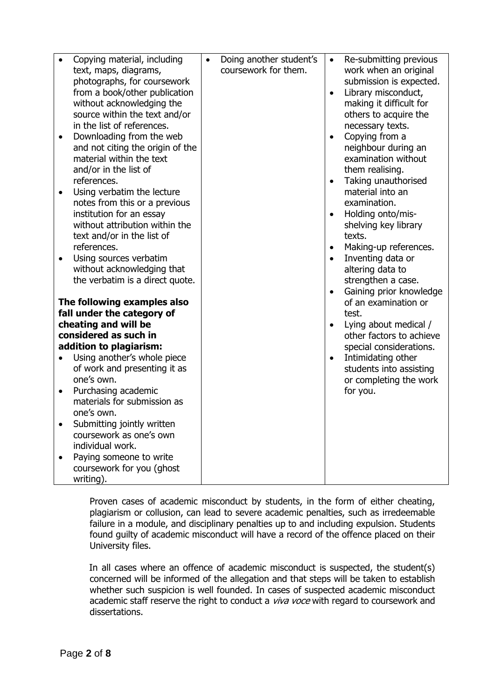|           | Copying material, including                               | $\bullet$ | Doing another student's | $\bullet$ | Re-submitting previous                  |
|-----------|-----------------------------------------------------------|-----------|-------------------------|-----------|-----------------------------------------|
|           | text, maps, diagrams,                                     |           | coursework for them.    |           | work when an original                   |
|           | photographs, for coursework                               |           |                         |           | submission is expected.                 |
|           | from a book/other publication                             |           |                         | $\bullet$ | Library misconduct,                     |
|           | without acknowledging the                                 |           |                         |           | making it difficult for                 |
|           | source within the text and/or                             |           |                         |           | others to acquire the                   |
|           | in the list of references.                                |           |                         |           | necessary texts.                        |
| $\bullet$ | Downloading from the web                                  |           |                         | $\bullet$ | Copying from a                          |
|           | and not citing the origin of the                          |           |                         |           | neighbour during an                     |
|           | material within the text                                  |           |                         |           | examination without                     |
|           | and/or in the list of                                     |           |                         |           | them realising.                         |
|           | references.                                               |           |                         | $\bullet$ | Taking unauthorised<br>material into an |
| $\bullet$ | Using verbatim the lecture                                |           |                         |           | examination.                            |
|           | notes from this or a previous<br>institution for an essay |           |                         | $\bullet$ | Holding onto/mis-                       |
|           | without attribution within the                            |           |                         |           | shelving key library                    |
|           | text and/or in the list of                                |           |                         |           | texts.                                  |
|           | references.                                               |           |                         | $\bullet$ | Making-up references.                   |
|           | Using sources verbatim                                    |           |                         | $\bullet$ | Inventing data or                       |
|           | without acknowledging that                                |           |                         |           | altering data to                        |
|           | the verbatim is a direct quote.                           |           |                         |           | strengthen a case.                      |
|           |                                                           |           |                         | $\bullet$ | Gaining prior knowledge                 |
|           | The following examples also                               |           |                         |           | of an examination or                    |
|           | fall under the category of                                |           |                         |           | test.                                   |
|           | cheating and will be                                      |           |                         | $\bullet$ | Lying about medical /                   |
|           | considered as such in                                     |           |                         |           | other factors to achieve                |
|           | addition to plagiarism:                                   |           |                         |           | special considerations.                 |
|           | Using another's whole piece                               |           |                         |           | Intimidating other                      |
|           | of work and presenting it as                              |           |                         |           | students into assisting                 |
|           | one's own.                                                |           |                         |           | or completing the work                  |
| $\bullet$ | Purchasing academic                                       |           |                         |           | for you.                                |
|           | materials for submission as                               |           |                         |           |                                         |
|           | one's own.                                                |           |                         |           |                                         |
| $\bullet$ | Submitting jointly written                                |           |                         |           |                                         |
|           | coursework as one's own                                   |           |                         |           |                                         |
|           | individual work.                                          |           |                         |           |                                         |
| $\bullet$ | Paying someone to write                                   |           |                         |           |                                         |
|           | coursework for you (ghost                                 |           |                         |           |                                         |
|           | writing).                                                 |           |                         |           |                                         |

Proven cases of academic misconduct by students, in the form of either cheating, plagiarism or collusion, can lead to severe academic penalties, such as irredeemable failure in a module, and disciplinary penalties up to and including expulsion. Students found guilty of academic misconduct will have a record of the offence placed on their University files.

In all cases where an offence of academic misconduct is suspected, the student(s) concerned will be informed of the allegation and that steps will be taken to establish whether such suspicion is well founded. In cases of suspected academic misconduct academic staff reserve the right to conduct a *viva voce* with regard to coursework and dissertations.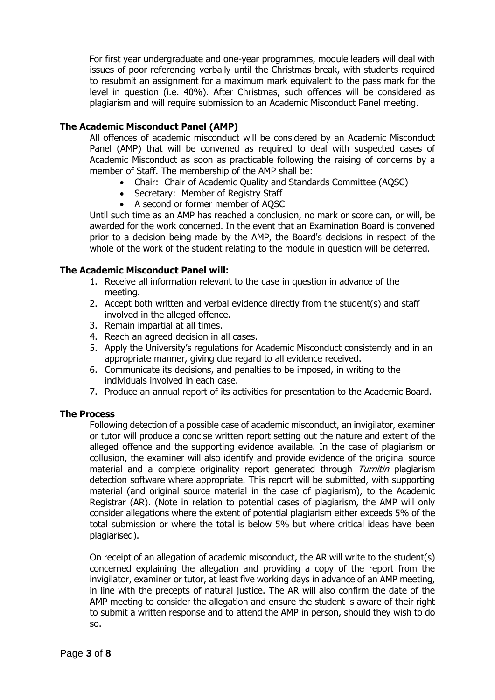For first year undergraduate and one-year programmes, module leaders will deal with issues of poor referencing verbally until the Christmas break, with students required to resubmit an assignment for a maximum mark equivalent to the pass mark for the level in question (i.e. 40%). After Christmas, such offences will be considered as plagiarism and will require submission to an Academic Misconduct Panel meeting.

## **The Academic Misconduct Panel (AMP)**

All offences of academic misconduct will be considered by an Academic Misconduct Panel (AMP) that will be convened as required to deal with suspected cases of Academic Misconduct as soon as practicable following the raising of concerns by a member of Staff. The membership of the AMP shall be:

- Chair: Chair of Academic Quality and Standards Committee (AQSC)
- Secretary: Member of Registry Staff
- A second or former member of AQSC

Until such time as an AMP has reached a conclusion, no mark or score can, or will, be awarded for the work concerned. In the event that an Examination Board is convened prior to a decision being made by the AMP, the Board's decisions in respect of the whole of the work of the student relating to the module in question will be deferred.

#### **The Academic Misconduct Panel will:**

- 1. Receive all information relevant to the case in question in advance of the meeting.
- 2. Accept both written and verbal evidence directly from the student(s) and staff involved in the alleged offence.
- 3. Remain impartial at all times.
- 4. Reach an agreed decision in all cases.
- 5. Apply the University's regulations for Academic Misconduct consistently and in an appropriate manner, giving due regard to all evidence received.
- 6. Communicate its decisions, and penalties to be imposed, in writing to the individuals involved in each case.
- 7. Produce an annual report of its activities for presentation to the Academic Board.

#### **The Process**

Following detection of a possible case of academic misconduct, an invigilator, examiner or tutor will produce a concise written report setting out the nature and extent of the alleged offence and the supporting evidence available. In the case of plagiarism or collusion, the examiner will also identify and provide evidence of the original source material and a complete originality report generated through Turnitin plagiarism detection software where appropriate. This report will be submitted, with supporting material (and original source material in the case of plagiarism), to the Academic Registrar (AR). (Note in relation to potential cases of plagiarism, the AMP will only consider allegations where the extent of potential plagiarism either exceeds 5% of the total submission or where the total is below 5% but where critical ideas have been plagiarised).

On receipt of an allegation of academic misconduct, the AR will write to the student(s) concerned explaining the allegation and providing a copy of the report from the invigilator, examiner or tutor, at least five working days in advance of an AMP meeting, in line with the precepts of natural justice. The AR will also confirm the date of the AMP meeting to consider the allegation and ensure the student is aware of their right to submit a written response and to attend the AMP in person, should they wish to do so.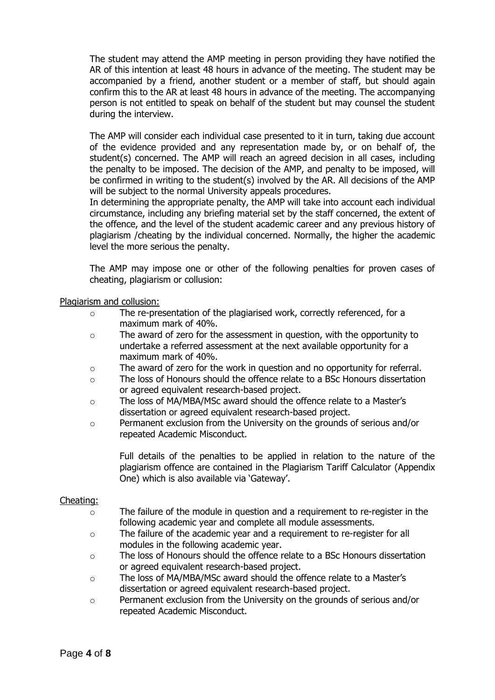The student may attend the AMP meeting in person providing they have notified the AR of this intention at least 48 hours in advance of the meeting. The student may be accompanied by a friend, another student or a member of staff, but should again confirm this to the AR at least 48 hours in advance of the meeting. The accompanying person is not entitled to speak on behalf of the student but may counsel the student during the interview.

The AMP will consider each individual case presented to it in turn, taking due account of the evidence provided and any representation made by, or on behalf of, the student(s) concerned. The AMP will reach an agreed decision in all cases, including the penalty to be imposed. The decision of the AMP, and penalty to be imposed, will be confirmed in writing to the student(s) involved by the AR. All decisions of the AMP will be subject to the normal University appeals procedures.

In determining the appropriate penalty, the AMP will take into account each individual circumstance, including any briefing material set by the staff concerned, the extent of the offence, and the level of the student academic career and any previous history of plagiarism /cheating by the individual concerned. Normally, the higher the academic level the more serious the penalty.

The AMP may impose one or other of the following penalties for proven cases of cheating, plagiarism or collusion:

#### Plagiarism and collusion:

- $\circ$  The re-presentation of the plagiarised work, correctly referenced, for a maximum mark of 40%.
- o The award of zero for the assessment in question, with the opportunity to undertake a referred assessment at the next available opportunity for a maximum mark of 40%.
- o The award of zero for the work in question and no opportunity for referral.
- o The loss of Honours should the offence relate to a BSc Honours dissertation or agreed equivalent research-based project.
- o The loss of MA/MBA/MSc award should the offence relate to a Master's dissertation or agreed equivalent research-based project.
- o Permanent exclusion from the University on the grounds of serious and/or repeated Academic Misconduct.

Full details of the penalties to be applied in relation to the nature of the plagiarism offence are contained in the Plagiarism Tariff Calculator (Appendix One) which is also available via 'Gateway'.

#### Cheating:

- o The failure of the module in question and a requirement to re-register in the following academic year and complete all module assessments.
- o The failure of the academic year and a requirement to re-register for all modules in the following academic year.
- o The loss of Honours should the offence relate to a BSc Honours dissertation or agreed equivalent research-based project.
- o The loss of MA/MBA/MSc award should the offence relate to a Master's dissertation or agreed equivalent research-based project.
- $\circ$  Permanent exclusion from the University on the grounds of serious and/or repeated Academic Misconduct.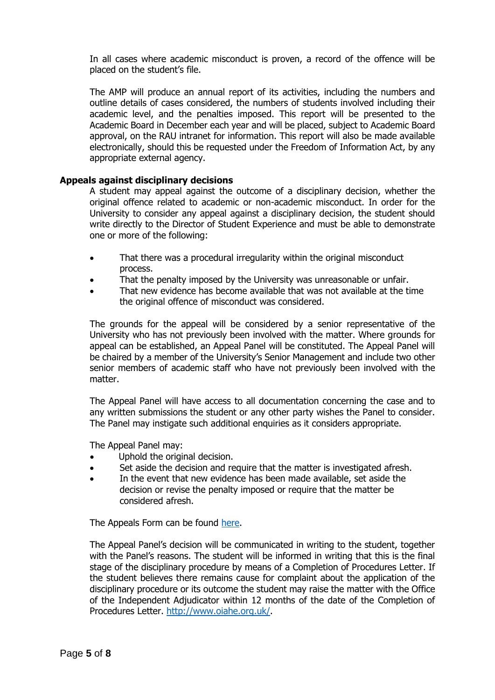In all cases where academic misconduct is proven, a record of the offence will be placed on the student's file.

The AMP will produce an annual report of its activities, including the numbers and outline details of cases considered, the numbers of students involved including their academic level, and the penalties imposed. This report will be presented to the Academic Board in December each year and will be placed, subject to Academic Board approval, on the RAU intranet for information. This report will also be made available electronically, should this be requested under the Freedom of Information Act, by any appropriate external agency.

#### **Appeals against disciplinary decisions**

A student may appeal against the outcome of a disciplinary decision, whether the original offence related to academic or non-academic misconduct. In order for the University to consider any appeal against a disciplinary decision, the student should write directly to the Director of Student Experience and must be able to demonstrate one or more of the following:

- That there was a procedural irregularity within the original misconduct process.
- That the penalty imposed by the University was unreasonable or unfair.
- That new evidence has become available that was not available at the time the original offence of misconduct was considered.

The grounds for the appeal will be considered by a senior representative of the University who has not previously been involved with the matter. Where grounds for appeal can be established, an Appeal Panel will be constituted. The Appeal Panel will be chaired by a member of the University's Senior Management and include two other senior members of academic staff who have not previously been involved with the matter.

The Appeal Panel will have access to all documentation concerning the case and to any written submissions the student or any other party wishes the Panel to consider. The Panel may instigate such additional enquiries as it considers appropriate.

The Appeal Panel may:

- Uphold the original decision.
- Set aside the decision and require that the matter is investigated afresh.
- In the event that new evidence has been made available, set aside the decision or revise the penalty imposed or require that the matter be considered afresh.

The Appeals Form can be found [here.](http://res.rau.ac.uk/docs/www/policies/Discipline-Academic-Misconduct-Appeal-Form.docx)

The Appeal Panel's decision will be communicated in writing to the student, together with the Panel's reasons. The student will be informed in writing that this is the final stage of the disciplinary procedure by means of a Completion of Procedures Letter. If the student believes there remains cause for complaint about the application of the disciplinary procedure or its outcome the student may raise the matter with the Office of the Independent Adjudicator within 12 months of the date of the Completion of Procedures Letter. [http://www.oiahe.org.uk/.](http://www.oiahe.org.uk/)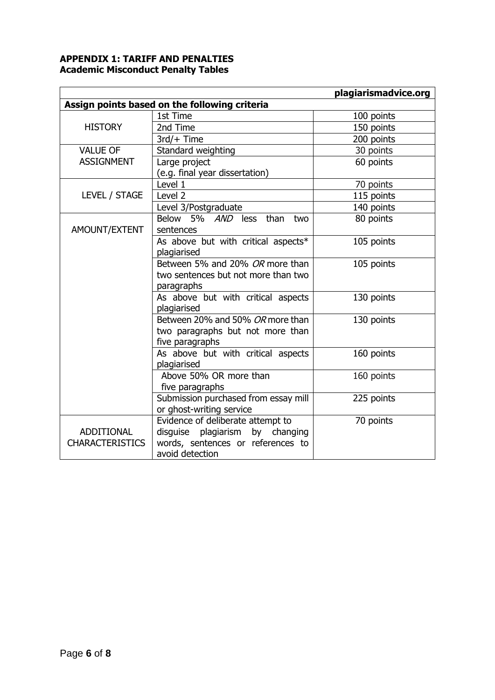## **APPENDIX 1: TARIFF AND PENALTIES Academic Misconduct Penalty Tables**

|                                               |                                      | plagiarismadvice.org |  |  |  |  |
|-----------------------------------------------|--------------------------------------|----------------------|--|--|--|--|
| Assign points based on the following criteria |                                      |                      |  |  |  |  |
|                                               | 1st Time                             | 100 points           |  |  |  |  |
| <b>HISTORY</b>                                | 2nd Time                             | 150 points           |  |  |  |  |
|                                               | $3rd/+$ Time                         | 200 points           |  |  |  |  |
| <b>VALUE OF</b>                               | Standard weighting                   | 30 points            |  |  |  |  |
| <b>ASSIGNMENT</b>                             | Large project                        | 60 points            |  |  |  |  |
|                                               | (e.g. final year dissertation)       |                      |  |  |  |  |
|                                               | Level 1                              | 70 points            |  |  |  |  |
| LEVEL / STAGE                                 | Level 2                              | 115 points           |  |  |  |  |
|                                               | Level 3/Postgraduate                 | 140 points           |  |  |  |  |
|                                               | Below 5% AND less than<br>two        | 80 points            |  |  |  |  |
| AMOUNT/EXTENT                                 | sentences                            |                      |  |  |  |  |
|                                               | As above but with critical aspects*  | 105 points           |  |  |  |  |
|                                               | plagiarised                          |                      |  |  |  |  |
|                                               | Between 5% and 20% OR more than      | 105 points           |  |  |  |  |
|                                               | two sentences but not more than two  |                      |  |  |  |  |
|                                               | paragraphs                           |                      |  |  |  |  |
|                                               | As above but with critical aspects   | 130 points           |  |  |  |  |
|                                               | plagiarised                          |                      |  |  |  |  |
|                                               | Between 20% and 50% OR more than     | 130 points           |  |  |  |  |
|                                               | two paragraphs but not more than     |                      |  |  |  |  |
|                                               | five paragraphs                      |                      |  |  |  |  |
|                                               | As above but with critical aspects   | 160 points           |  |  |  |  |
|                                               | plagiarised                          |                      |  |  |  |  |
|                                               | Above 50% OR more than               | 160 points           |  |  |  |  |
|                                               | five paragraphs                      |                      |  |  |  |  |
|                                               | Submission purchased from essay mill | 225 points           |  |  |  |  |
|                                               | or ghost-writing service             |                      |  |  |  |  |
|                                               | Evidence of deliberate attempt to    | 70 points            |  |  |  |  |
| <b>ADDITIONAL</b>                             | disguise plagiarism by changing      |                      |  |  |  |  |
| <b>CHARACTERISTICS</b>                        | words, sentences or references to    |                      |  |  |  |  |
|                                               | avoid detection                      |                      |  |  |  |  |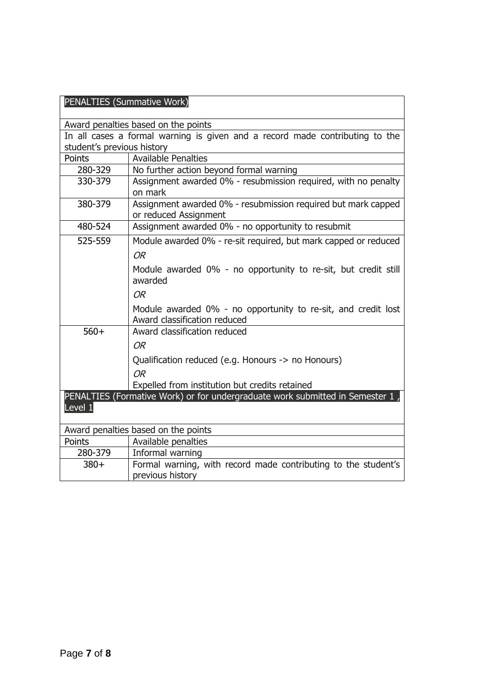| PENALTIES (Summative Work)                                                   |                                                                                               |  |  |  |
|------------------------------------------------------------------------------|-----------------------------------------------------------------------------------------------|--|--|--|
|                                                                              | Award penalties based on the points                                                           |  |  |  |
| In all cases a formal warning is given and a record made contributing to the |                                                                                               |  |  |  |
| student's previous history                                                   |                                                                                               |  |  |  |
| Points                                                                       | <b>Available Penalties</b>                                                                    |  |  |  |
| 280-329                                                                      | No further action beyond formal warning                                                       |  |  |  |
| 330-379                                                                      | Assignment awarded 0% - resubmission required, with no penalty<br>on mark                     |  |  |  |
| 380-379                                                                      | Assignment awarded 0% - resubmission required but mark capped<br>or reduced Assignment        |  |  |  |
| 480-524                                                                      | Assignment awarded 0% - no opportunity to resubmit                                            |  |  |  |
| 525-559                                                                      | Module awarded 0% - re-sit required, but mark capped or reduced                               |  |  |  |
|                                                                              | OR                                                                                            |  |  |  |
|                                                                              | Module awarded 0% - no opportunity to re-sit, but credit still<br>awarded                     |  |  |  |
|                                                                              | OR                                                                                            |  |  |  |
|                                                                              | Module awarded 0% - no opportunity to re-sit, and credit lost<br>Award classification reduced |  |  |  |
| $560+$                                                                       | Award classification reduced                                                                  |  |  |  |
|                                                                              | <b>OR</b>                                                                                     |  |  |  |
|                                                                              | Qualification reduced (e.g. Honours -> no Honours)                                            |  |  |  |
|                                                                              | OR                                                                                            |  |  |  |
|                                                                              | Expelled from institution but credits retained                                                |  |  |  |
| Level 1                                                                      | PENALTIES (Formative Work) or for undergraduate work submitted in Semester 1                  |  |  |  |
|                                                                              | Award penalties based on the points                                                           |  |  |  |
| Points                                                                       | Available penalties                                                                           |  |  |  |
| 280-379                                                                      | Informal warning                                                                              |  |  |  |
| $380+$                                                                       | Formal warning, with record made contributing to the student's                                |  |  |  |
|                                                                              | previous history                                                                              |  |  |  |